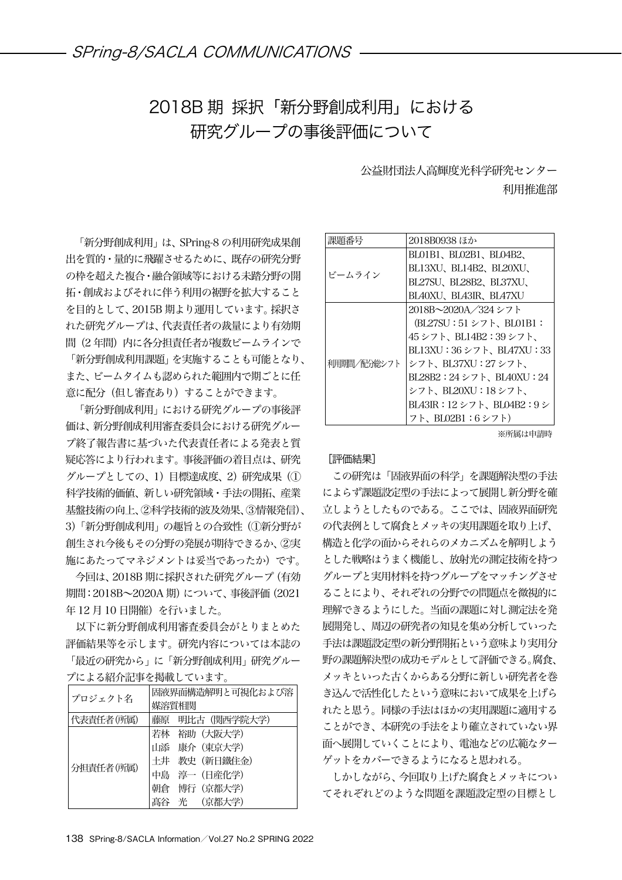## 2018B 期 採択「新分野創成利用」における 研究グループの事後評価について

公益財団法人高輝度光科学研究センター 利用推進部

「新分野創成利用」は、SPring-8 の利用研究成果創 出を質的・量的に飛躍させるために、既存の研究分野 の枠を超えた複合・融合領域等における未踏分野の開 拓・創成およびそれに伴う利用の裾野を拡大すること を目的として、2015B 期より運用しています。採択さ れた研究グループは、代表責任者の裁量により有効期 間(2年間)内に各分担責任者が複数ビームラインで 「新分野創成利用課題」を実施することも可能となり、 また、ビームタイムも認められた範囲内で期ごとに任 意に配分(但し審査あり)することができます。

「新分野創成利用」における研究グループの事後評 価は、新分野創成利用審査委員会における研究グルー プ終了報告書に基づいた代表責任者による発表と質 疑応答により行われます。事後評価の着目点は、研究 グループとしての、1)目標達成度、2)研究成果(① 科学技術的価値、新しい研究領域・手法の開拓、産業 基盤技術の向上、②科学技術的波及効果、③情報発信)、 3)「新分野創成利用」の趣旨との合致性(①新分野が 創生され今後もその分野の発展が期待できるか、②実 施にあたってマネジメントは妥当であったか)です。

今回は、2018B 期に採択された研究グループ(有効 期間:2018B~2020A 期)について、事後評価(2021 年12月10日開催)を行いました。

以下に新分野創成利用審査委員会がとりまとめた 評価結果等を示します。研究内容については本誌の 「最近の研究から」に「新分野創成利用」研究グルー

プによる紹介記事を掲載しています。

| プロジェクト名   | 固液界面構造解明と可視化および溶 |
|-----------|------------------|
|           | 媒溶質相関            |
| 代表責任者(所属) | 藤原 明比古(関西学院大学)   |
| 分担責任者(所属) | 若林 裕助 (大阪大学)     |
|           | 山添 康介 (東京大学)     |
|           | 土井 教史 (新日鐵住金)    |
|           | 中島 淳一 (日産化学)     |
|           | 朝倉<br>博行(京都大学)   |
|           | 光 (京都大学)         |

| 課題番号        | 2018B0938 ほか                         |
|-------------|--------------------------------------|
| ビームライン      | BLOIBI、BLO2BI、BLO4B2、                |
|             | BL13XU、BL14B2、BL20XU、                |
|             | BL27SU、BL28B2、BL37XU、                |
|             | BLA0XU、BLA3IR、BLA7XU                 |
| 利用期間/配分総シフト | 2018B~2020A/324 シフト                  |
|             | $(BL27SU:51 \rightarrow 7$ , BL01B1: |
|             | 45 シフト、BL14B2:39 シフト、                |
|             | BL13XU:36 シフト、BL47XU:33              |
|             | シフト、BL37XU:27 シフト、                   |
|             | $BL28B2:24 \geq 7$ . $BL40XU:24$     |
|             | シフト、BL20XU:18 シフト、                   |
|             | BL43IR: 12シフト、BL04B2:9シ              |
|             | フト、BL02B1:6シフト)                      |

## ※所属は申請時

## [評価結果]

この研究は「固液界面の科学」を課題解決型の手法 によらず課題設定型の手法によって展開し新分野を確 立しようとしたものである。ここでは、固液界面研究 の代表例として腐食とメッキの実用課題を取り上げ、 構造と化学の面からそれらのメカニズムを解明しよう とした戦略はうまく機能し、放射光の測定技術を持つ グループと実用材料を持つグループをマッチングさせ ることにより、それぞれの分野での問題点を微視的に 理解できるようにした。当面の課題に対し測定法を発 展開発し、周辺の研究者の知見を集め分析していった 手法は課題設定型の新分野開拓という意味より実用分 野の課題解決型の成功モデルとして評価できる。腐食、 メッキといった古くからある分野に新しい研究者を巻 き込んで活性化したという意味において成果を上げら れたと思う。同様の手法はほかの実用課題に適用する ことができ、本研究の手法をより確立されていない界 面へ展開していくことにより、電池などの広範なター ゲットをカバーできるようになると思われる。

しかしながら、今回取り上げた腐食とメッキについ てそれぞれどのような問題を課題設定型の目標とし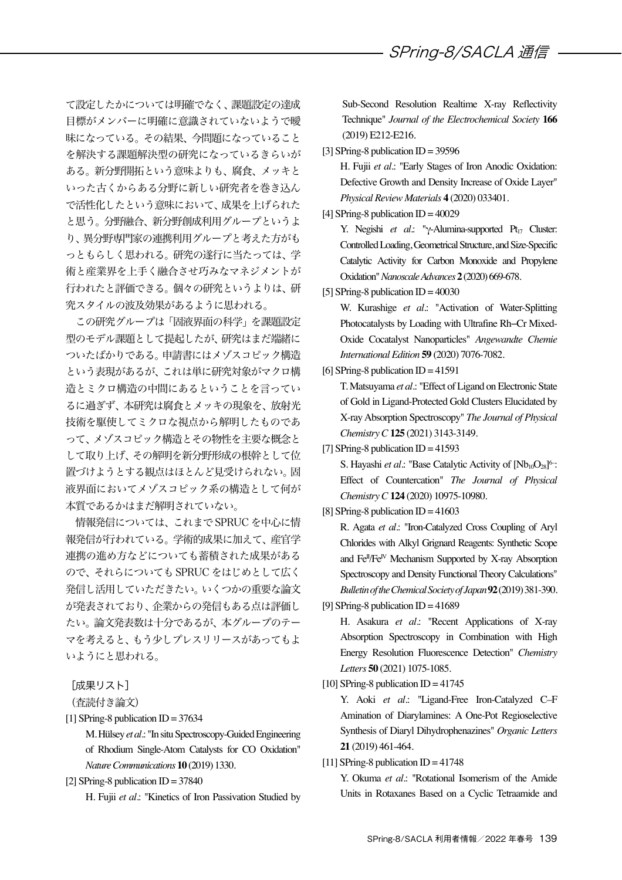て設定したかについては明確でなく、課題設定の達成 目標がメンバーに明確に意識されていないようで曖 昧になっている。その結果、今問題になっていること を解決する課題解決型の研究になっているきらいが ある。新分野開拓という意味よりも、腐食、メッキと いった古くからある分野に新しい研究者を巻き込ん で活性化したという意味において、成果を上げられた と思う。分野融合、新分野創成利用グループというよ り、異分野専門家の連携利用グループと考えた方がも っともらしく思われる。研究の遂行に当たっては、学 術と産業界を上手く融合させ巧みなマネジメントが 行われたと評価できる。個々の研究というよりは、研 究スタイルの波及効果があるように思われる。

この研究グループは「固液界面の科学」を課題設定 型のモデル課題として提起したが、研究はまだ端緒に ついたばかりである。申請書にはメゾスコピック構造 という表現があるが、これは単に研究対象がマクロ構 造とミクロ構造の中間にあるということを言ってい るに過ぎず、本研究は腐食とメッキの現象を、放射光 技術を駆使してミクロな視点から解明したものであ って、メゾスコピック構造とその物性を主要な概念と して取り上げ、その解明を新分野形成の根幹として位 置づけようとする観点はほとんど見受けられない。固 液界面においてメゾスコピック系の構造として何が 本質であるかはまだ解明されていない。

情報発信については、これまで SPRUC を中心に情 報発信が行われている。学術的成果に加えて、産官学 連携の進め方などについても蓄積された成果がある ので、それらについても SPRUC をはじめとして広く 発信し活用していただきたい。いくつかの重要な論文 が発表されており、企業からの発信もある点は評価し たい。論文発表数は十分であるが、本グループのテー マを考えると、もう少しプレスリリースがあってもよ いようにと思われる。

[成果リスト]

(査読付き論文)

 $[1]$  SPring-8 publication ID = 37634

M. Hülsey*et al.*: "In situ Spectroscopy-Guided Engineering of Rhodium Single-Atom Catalysts for CO Oxidation" *Nature Communications* **10** (2019) 1330.

[2] SPring-8 publication  $ID = 37840$ 

H. Fujii *et al.*: "Kinetics of Iron Passivation Studied by

Sub-Second Resolution Realtime X-ray Reflectivity Technique" *Journal of the Electrochemical Society* **166** (2019) E212-E216.

[3] SPring-8 publication ID = 39596

H. Fujii *et al.*: "Early Stages of Iron Anodic Oxidation: Defective Growth and Density Increase of Oxide Layer" *Physical Review Materials* **4** (2020) 033401.

[4] SPring-8 publication  $ID = 40029$ 

Y. Negishi *et al.*: "γ-Alumina-supported Pt<sub>17</sub> Cluster: Controlled Loading, Geometrical Structure, and Size-Specific Catalytic Activity for Carbon Monoxide and Propylene Oxidation"*Nanoscale Advances* **2**(2020) 669-678.

[5] SPring-8 publication  $ID = 40030$ 

W. Kurashige *et al.*: "Activation of Water-Splitting Photocatalysts by Loading with Ultrafine Rh−Cr Mixed-Oxide Cocatalyst Nanoparticles" *Angewandte Chemie International Edition* **59** (2020) 7076-7082.

[6] SPring-8 publication  $ID = 41591$ 

T. Matsuyama *et al.*: "Effect of Ligand on Electronic State of Gold in Ligand-Protected Gold Clusters Elucidated by X-ray Absorption Spectroscopy" *The Journal of Physical Chemistry C* **125** (2021) 3143-3149.

[7] SPring-8 publication  $ID = 41593$ 

S. Hayashi *et al*.: "Base Catalytic Activity of [Nb<sub>10</sub>O<sub>28</sub>]<sup>6-</sup>: Effect of Countercation" *The Journal of Physical Chemistry C***124** (2020) 10975-10980.

[8] SPring-8 publication  $ID = 41603$ 

R. Agata *et al.*: "Iron-Catalyzed Cross Coupling of Aryl Chlorides with Alkyl Grignard Reagents: Synthetic Scope and Fe<sup>II</sup>/Fe<sup>IV</sup> Mechanism Supported by X-ray Absorption Spectroscopy and Density Functional Theory Calculations" *Bulletin of the Chemical Society of Japan***92**(2019) 381-390.

[9] SPring-8 publication  $ID = 41689$ 

H. Asakura *et al.*: "Recent Applications of X-ray Absorption Spectroscopy in Combination with High Energy Resolution Fluorescence Detection" *Chemistry Letters* **50** (2021) 1075-1085.

 $[10]$  SPring-8 publication ID = 41745

Y. Aoki *et al.*: "Ligand-Free Iron-Catalyzed C–F Amination of Diarylamines: A One-Pot Regioselective Synthesis of Diaryl Dihydrophenazines" *Organic Letters* **21** (2019) 461-464.

[11] SPring-8 publication  $ID = 41748$ 

Y. Okuma *et al.*: "Rotational Isomerism of the Amide Units in Rotaxanes Based on a Cyclic Tetraamide and